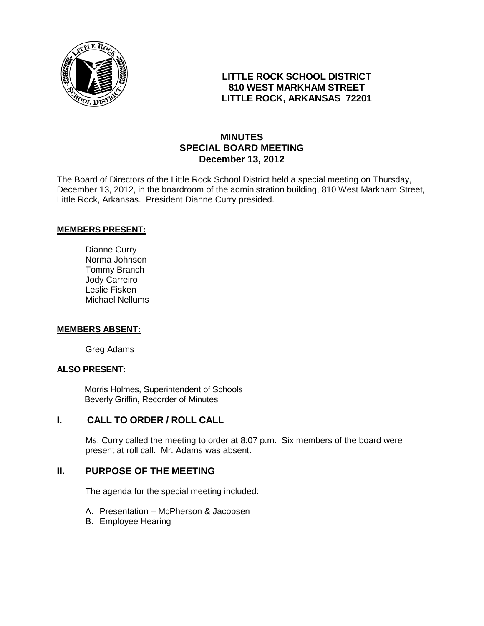

# **LITTLE ROCK SCHOOL DISTRICT 810 WEST MARKHAM STREET LITTLE ROCK, ARKANSAS 72201**

# **MINUTES SPECIAL BOARD MEETING December 13, 2012**

The Board of Directors of the Little Rock School District held a special meeting on Thursday, December 13, 2012, in the boardroom of the administration building, 810 West Markham Street, Little Rock, Arkansas. President Dianne Curry presided.

### **MEMBERS PRESENT:**

Dianne Curry Norma Johnson Tommy Branch Jody Carreiro Leslie Fisken Michael Nellums

#### **MEMBERS ABSENT:**

Greg Adams

### **ALSO PRESENT:**

 Morris Holmes, Superintendent of Schools Beverly Griffin, Recorder of Minutes

### **I. CALL TO ORDER / ROLL CALL**

Ms. Curry called the meeting to order at 8:07 p.m. Six members of the board were present at roll call. Mr. Adams was absent.

## **II. PURPOSE OF THE MEETING**

The agenda for the special meeting included:

- A. Presentation McPherson & Jacobsen
- B. Employee Hearing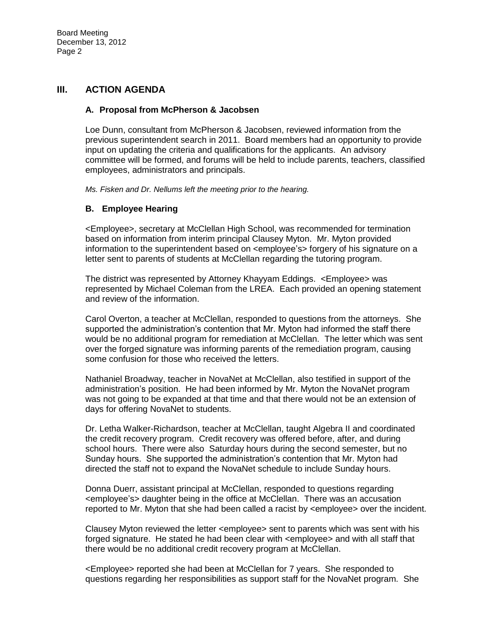## **III. ACTION AGENDA**

#### **A. Proposal from McPherson & Jacobsen**

Loe Dunn, consultant from McPherson & Jacobsen, reviewed information from the previous superintendent search in 2011. Board members had an opportunity to provide input on updating the criteria and qualifications for the applicants. An advisory committee will be formed, and forums will be held to include parents, teachers, classified employees, administrators and principals.

*Ms. Fisken and Dr. Nellums left the meeting prior to the hearing.*

#### **B. Employee Hearing**

<Employee>, secretary at McClellan High School, was recommended for termination based on information from interim principal Clausey Myton. Mr. Myton provided information to the superintendent based on <employee's> forgery of his signature on a letter sent to parents of students at McClellan regarding the tutoring program.

The district was represented by Attorney Khayyam Eddings. <Employee> was represented by Michael Coleman from the LREA. Each provided an opening statement and review of the information.

Carol Overton, a teacher at McClellan, responded to questions from the attorneys. She supported the administration's contention that Mr. Myton had informed the staff there would be no additional program for remediation at McClellan. The letter which was sent over the forged signature was informing parents of the remediation program, causing some confusion for those who received the letters.

Nathaniel Broadway, teacher in NovaNet at McClellan, also testified in support of the administration's position. He had been informed by Mr. Myton the NovaNet program was not going to be expanded at that time and that there would not be an extension of days for offering NovaNet to students.

Dr. Letha Walker-Richardson, teacher at McClellan, taught Algebra II and coordinated the credit recovery program. Credit recovery was offered before, after, and during school hours. There were also Saturday hours during the second semester, but no Sunday hours. She supported the administration's contention that Mr. Myton had directed the staff not to expand the NovaNet schedule to include Sunday hours.

Donna Duerr, assistant principal at McClellan, responded to questions regarding <employee's> daughter being in the office at McClellan. There was an accusation reported to Mr. Myton that she had been called a racist by <employee> over the incident.

Clausey Myton reviewed the letter <employee> sent to parents which was sent with his forged signature. He stated he had been clear with <employee> and with all staff that there would be no additional credit recovery program at McClellan.

<Employee> reported she had been at McClellan for 7 years. She responded to questions regarding her responsibilities as support staff for the NovaNet program. She